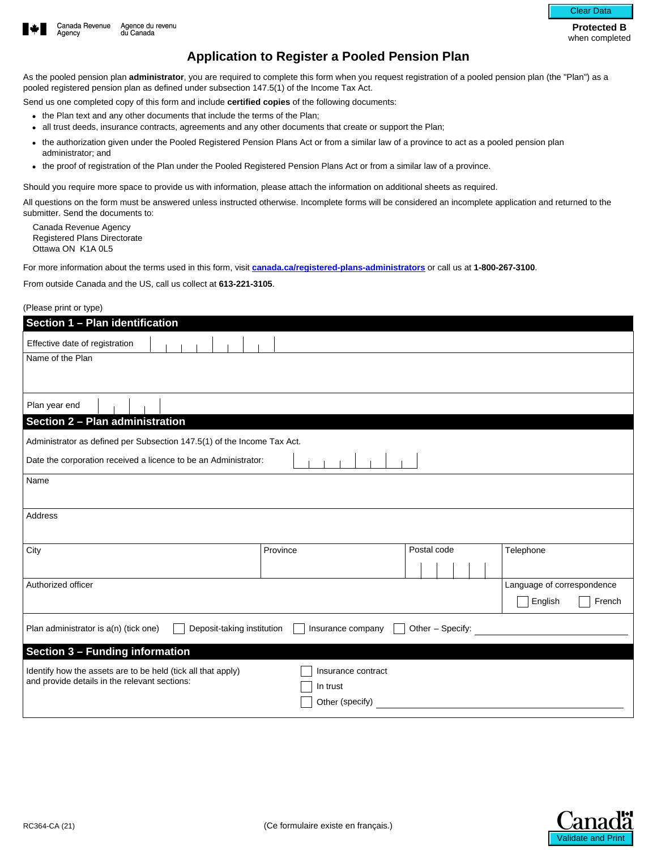

**Protected B**  when completed

## **Application to Register a Pooled Pension Plan**

As the pooled pension plan **administrator**, you are required to complete this form when you request registration of a pooled pension plan (the "Plan") as a pooled registered pension plan as defined under subsection 147.5(1) of the Income Tax Act.

Send us one completed copy of this form and include **certified copies** of the following documents:

- the Plan text and any other documents that include the terms of the Plan;
- all trust deeds, insurance contracts, agreements and any other documents that create or support the Plan;
- the authorization given under the Pooled Registered Pension Plans Act or from a similar law of a province to act as a pooled pension plan administrator; and
- the proof of registration of the Plan under the Pooled Registered Pension Plans Act or from a similar law of a province.

Should you require more space to provide us with information, please attach the information on additional sheets as required.

All questions on the form must be answered unless instructed otherwise. Incomplete forms will be considered an incomplete application and returned to the submitter. Send the documents to:

Canada Revenue Agency Registered Plans Directorate Ottawa ON K1A 0L5

For more information about the terms used in this form, visit **[canada.ca/registered-plans-administrators](https://www.canada.ca/en/services/taxes/savings-and-pension-plans/savings-and-pension-plan-administration.html?utm_campaign=not-applicable&utm_medium=vanity-url&utm_source=canada-ca_registered-plans-administrators)** or call us at **1-800-267-3100**.

From outside Canada and the US, call us collect at **613-221-3105**.

## (Please print or type)

| Section 1 - Plan identification                                                                               |                                |             |                            |  |  |  |
|---------------------------------------------------------------------------------------------------------------|--------------------------------|-------------|----------------------------|--|--|--|
| Effective date of registration                                                                                |                                |             |                            |  |  |  |
| Name of the Plan                                                                                              |                                |             |                            |  |  |  |
|                                                                                                               |                                |             |                            |  |  |  |
| Plan year end                                                                                                 |                                |             |                            |  |  |  |
| Section 2 - Plan administration                                                                               |                                |             |                            |  |  |  |
| Administrator as defined per Subsection 147.5(1) of the Income Tax Act.                                       |                                |             |                            |  |  |  |
| Date the corporation received a licence to be an Administrator:                                               |                                |             |                            |  |  |  |
| Name                                                                                                          |                                |             |                            |  |  |  |
|                                                                                                               |                                |             |                            |  |  |  |
| Address                                                                                                       |                                |             |                            |  |  |  |
| City                                                                                                          | Province                       | Postal code | Telephone                  |  |  |  |
|                                                                                                               |                                |             |                            |  |  |  |
| Authorized officer                                                                                            |                                |             | Language of correspondence |  |  |  |
|                                                                                                               |                                |             | English<br>French          |  |  |  |
| Plan administrator is a(n) (tick one)<br>Deposit-taking institution<br>Insurance company<br>Other - Specify:  |                                |             |                            |  |  |  |
| Section 3 - Funding information                                                                               |                                |             |                            |  |  |  |
| Identify how the assets are to be held (tick all that apply)<br>and provide details in the relevant sections: | Insurance contract<br>In trust |             |                            |  |  |  |
|                                                                                                               | Other (specify)                |             |                            |  |  |  |

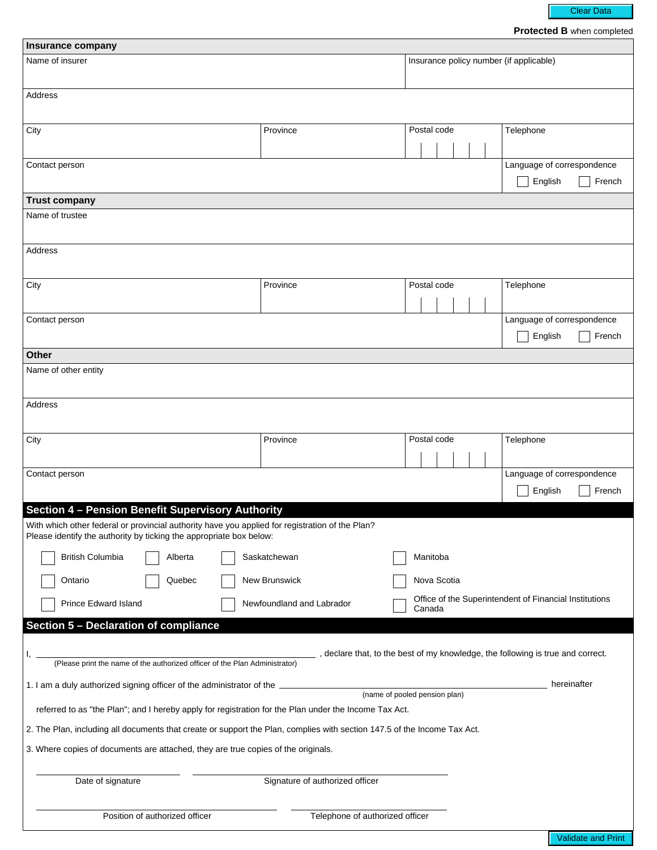Clear Data

**Protected B** when completed

| Insurance company                                                                                                                                              |                                  |                                         |                                                        |  |  |  |  |
|----------------------------------------------------------------------------------------------------------------------------------------------------------------|----------------------------------|-----------------------------------------|--------------------------------------------------------|--|--|--|--|
| Name of insurer                                                                                                                                                |                                  | Insurance policy number (if applicable) |                                                        |  |  |  |  |
| Address                                                                                                                                                        |                                  |                                         |                                                        |  |  |  |  |
| City                                                                                                                                                           | Province<br>$\blacktriangledown$ | Postal code                             | Telephone                                              |  |  |  |  |
| Contact person                                                                                                                                                 |                                  |                                         | Language of correspondence<br>English<br>French        |  |  |  |  |
| <b>Trust company</b>                                                                                                                                           |                                  |                                         |                                                        |  |  |  |  |
| Name of trustee                                                                                                                                                |                                  |                                         |                                                        |  |  |  |  |
| Address                                                                                                                                                        |                                  |                                         |                                                        |  |  |  |  |
| City                                                                                                                                                           | Province<br>$\blacktriangledown$ | Postal code                             | Telephone                                              |  |  |  |  |
| Contact person                                                                                                                                                 |                                  |                                         | Language of correspondence<br>English<br>French        |  |  |  |  |
| Other                                                                                                                                                          |                                  |                                         |                                                        |  |  |  |  |
| Name of other entity                                                                                                                                           |                                  |                                         |                                                        |  |  |  |  |
| Address                                                                                                                                                        |                                  |                                         |                                                        |  |  |  |  |
| City                                                                                                                                                           | Province<br>$\blacktriangledown$ | Postal code                             | Telephone                                              |  |  |  |  |
| Contact person                                                                                                                                                 |                                  |                                         | Language of correspondence<br>French<br>English        |  |  |  |  |
| Section 4 - Pension Benefit Supervisory Authority<br>With which other federal or provincial authority have you applied for registration of the Plan?           |                                  |                                         |                                                        |  |  |  |  |
| Please identify the authority by ticking the appropriate box below:<br><b>British Columbia</b><br>Alberta                                                      | Saskatchewan                     | Manitoba                                |                                                        |  |  |  |  |
| Quebec<br>Ontario                                                                                                                                              | New Brunswick                    | Nova Scotia                             |                                                        |  |  |  |  |
| <b>Prince Edward Island</b>                                                                                                                                    | Newfoundland and Labrador        | Canada                                  | Office of the Superintendent of Financial Institutions |  |  |  |  |
| Section 5 - Declaration of compliance                                                                                                                          |                                  |                                         |                                                        |  |  |  |  |
| , declare that, to the best of my knowledge, the following is true and correct.<br>(Please print the name of the authorized officer of the Plan Administrator) |                                  |                                         |                                                        |  |  |  |  |
| hereinafter<br>1. I am a duly authorized signing officer of the administrator of the<br>(name of pooled pension plan)                                          |                                  |                                         |                                                        |  |  |  |  |
| referred to as "the Plan"; and I hereby apply for registration for the Plan under the Income Tax Act.                                                          |                                  |                                         |                                                        |  |  |  |  |
| 2. The Plan, including all documents that create or support the Plan, complies with section 147.5 of the Income Tax Act.                                       |                                  |                                         |                                                        |  |  |  |  |
| 3. Where copies of documents are attached, they are true copies of the originals.                                                                              |                                  |                                         |                                                        |  |  |  |  |
| Date of signature<br>Signature of authorized officer                                                                                                           |                                  |                                         |                                                        |  |  |  |  |
| Position of authorized officer<br>Telephone of authorized officer                                                                                              |                                  |                                         |                                                        |  |  |  |  |

Validate and Print